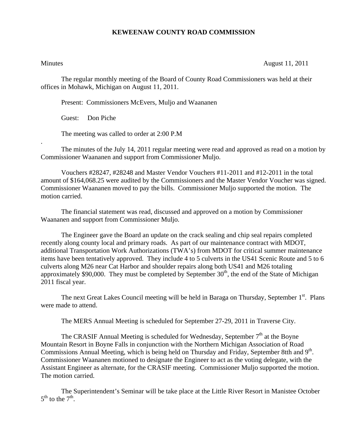## **KEWEENAW COUNTY ROAD COMMISSION**

.

Minutes August 11, 2011

The regular monthly meeting of the Board of County Road Commissioners was held at their offices in Mohawk, Michigan on August 11, 2011.

Present: Commissioners McEvers, Muljo and Waananen

Guest: Don Piche

The meeting was called to order at 2:00 P.M

 The minutes of the July 14, 2011 regular meeting were read and approved as read on a motion by Commissioner Waananen and support from Commissioner Muljo.

 Vouchers #28247, #28248 and Master Vendor Vouchers #11-2011 and #12-2011 in the total amount of \$164,068.25 were audited by the Commissioners and the Master Vendor Voucher was signed. Commissioner Waananen moved to pay the bills. Commissioner Muljo supported the motion. The motion carried.

 The financial statement was read, discussed and approved on a motion by Commissioner Waananen and support from Commissioner Muljo.

 The Engineer gave the Board an update on the crack sealing and chip seal repairs completed recently along county local and primary roads. As part of our maintenance contract with MDOT, additional Transportation Work Authorizations (TWA's) from MDOT for critical summer maintenance items have been tentatively approved. They include 4 to 5 culverts in the US41 Scenic Route and 5 to 6 culverts along M26 near Cat Harbor and shoulder repairs along both US41 and M26 totaling approximately \$90,000. They must be completed by September  $30<sup>th</sup>$ , the end of the State of Michigan 2011 fiscal year.

The next Great Lakes Council meeting will be held in Baraga on Thursday, September 1<sup>st</sup>. Plans were made to attend.

The MERS Annual Meeting is scheduled for September 27-29, 2011 in Traverse City.

The CRASIF Annual Meeting is scheduled for Wednesday, September  $7<sup>th</sup>$  at the Boyne Mountain Resort in Boyne Falls in conjunction with the Northern Michigan Association of Road Commissions Annual Meeting, which is being held on Thursday and Friday, September 8tth and 9<sup>th</sup>. Commissioner Waananen motioned to designate the Engineer to act as the voting delegate, with the Assistant Engineer as alternate, for the CRASIF meeting. Commissioner Muljo supported the motion. The motion carried.

 The Superintendent's Seminar will be take place at the Little River Resort in Manistee October  $5<sup>th</sup>$  to the  $7<sup>th</sup>$ .